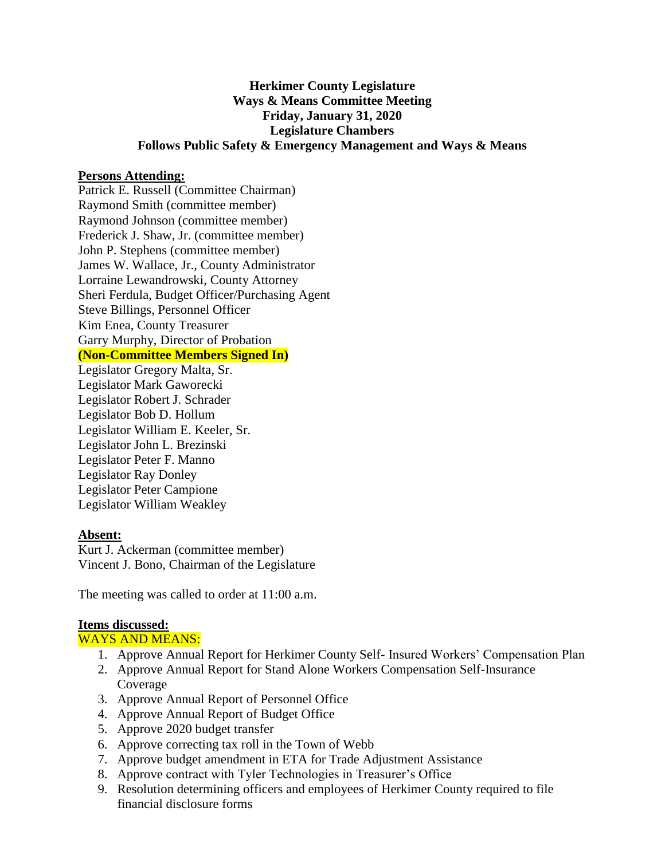## **Herkimer County Legislature Ways & Means Committee Meeting Friday, January 31, 2020 Legislature Chambers Follows Public Safety & Emergency Management and Ways & Means**

#### **Persons Attending:**

Patrick E. Russell (Committee Chairman) Raymond Smith (committee member) Raymond Johnson (committee member) Frederick J. Shaw, Jr. (committee member) John P. Stephens (committee member) James W. Wallace, Jr., County Administrator Lorraine Lewandrowski, County Attorney Sheri Ferdula, Budget Officer/Purchasing Agent Steve Billings, Personnel Officer Kim Enea, County Treasurer Garry Murphy, Director of Probation **(Non-Committee Members Signed In)** Legislator Gregory Malta, Sr.

Legislator Mark Gaworecki Legislator Robert J. Schrader Legislator Bob D. Hollum Legislator William E. Keeler, Sr. Legislator John L. Brezinski Legislator Peter F. Manno Legislator Ray Donley Legislator Peter Campione Legislator William Weakley

#### **Absent:**

Kurt J. Ackerman (committee member) Vincent J. Bono, Chairman of the Legislature

The meeting was called to order at 11:00 a.m.

#### **Items discussed:**

WAYS AND MEANS:

- 1. Approve Annual Report for Herkimer County Self- Insured Workers' Compensation Plan
- 2. Approve Annual Report for Stand Alone Workers Compensation Self-Insurance Coverage
- 3. Approve Annual Report of Personnel Office
- 4. Approve Annual Report of Budget Office
- 5. Approve 2020 budget transfer
- 6. Approve correcting tax roll in the Town of Webb
- 7. Approve budget amendment in ETA for Trade Adjustment Assistance
- 8. Approve contract with Tyler Technologies in Treasurer's Office
- 9. Resolution determining officers and employees of Herkimer County required to file financial disclosure forms